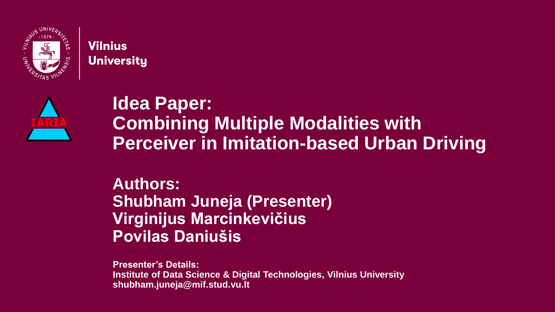

#### **Vilnius University**



#### **Idea Paper: Combining Multiple Modalities with Perceiver in Imitation-based Urban Driving**

#### **Authors: Shubham Juneja (Presenter) Virginijus Marcinkevičius Povilas Daniušis**

**Presenter's Details: Institute of Data Science & Digital Technologies, Vilnius University shubham.juneja@mif.stud.vu.lt**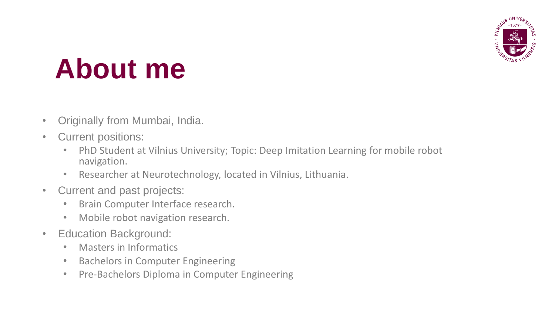

## **About me**

- Originally from Mumbai, India.
- Current positions:
	- PhD Student at Vilnius University; Topic: Deep Imitation Learning for mobile robot navigation.
	- Researcher at Neurotechnology, located in Vilnius, Lithuania.
- Current and past projects:
	- Brain Computer Interface research.
	- Mobile robot navigation research.
- Education Background:
	- Masters in Informatics
	- Bachelors in Computer Engineering
	- Pre-Bachelors Diploma in Computer Engineering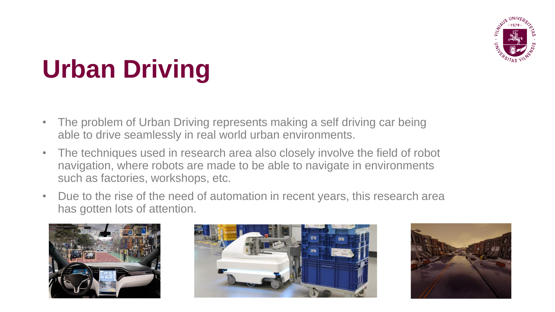

## **Urban Driving**

- The problem of Urban Driving represents making a self driving car being able to drive seamlessly in real world urban environments.
- The techniques used in research area also closely involve the field of robot navigation, where robots are made to be able to navigate in environments such as factories, workshops, etc.
- Due to the rise of the need of automation in recent years, this research area has gotten lots of attention.





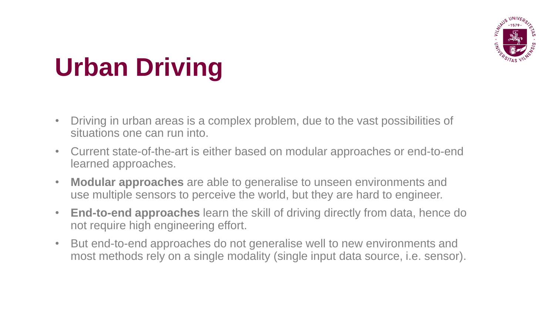

## **Urban Driving**

- Driving in urban areas is a complex problem, due to the vast possibilities of situations one can run into.
- Current state-of-the-art is either based on modular approaches or end-to-end learned approaches.
- **Modular approaches** are able to generalise to unseen environments and use multiple sensors to perceive the world, but they are hard to engineer.
- **End-to-end approaches** learn the skill of driving directly from data, hence do not require high engineering effort.
- But end-to-end approaches do not generalise well to new environments and most methods rely on a single modality (single input data source, i.e. sensor).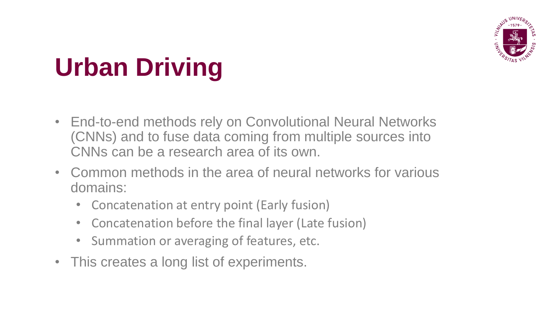

## **Urban Driving**

- End-to-end methods rely on Convolutional Neural Networks (CNNs) and to fuse data coming from multiple sources into CNNs can be a research area of its own.
- Common methods in the area of neural networks for various domains:
	- Concatenation at entry point (Early fusion)
	- Concatenation before the final layer (Late fusion)
	- Summation or averaging of features, etc.
- This creates a long list of experiments.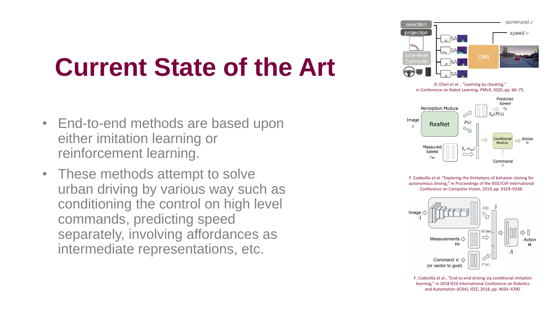### **Current State of the Art**

- End-to-end methods are based upon either imitation learning or reinforcement learning.
- These methods attempt to solve urban driving by various way such as conditioning the control on high level commands, predicting speed separately, involving affordances as intermediate representations, etc.



D. Chen *et al.*, "Learning by cheating," in Conference on Robot Learning. PMLR, 2020, pp. 66–75.



F. Codevilla *et al.* "Exploring the limitations of behavior cloning for autonomous driving," in Proceedings of the IEEE/CVF International Conference on Computer Vision, 2019, pp. 9329–9338.



F. Codevilla *et al.*, "End-to-end driving via conditional imitation learning," in 2018 IEEE International Conference on Robotics and Automation (ICRA). IEEE, 2018, pp. 4693–4700.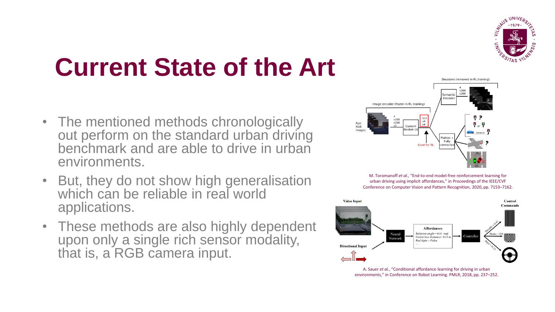

## **Current State of the Art**

- The mentioned methods chronologically out perform on the standard urban driving benchmark and are able to drive in urban environments.
- But, they do not show high generalisation which can be reliable in real world applications.
- These methods are also highly dependent upon only a single rich sensor modality, that is, a RGB camera input.



M. Toromanoff *et al.*, "End-to-end model-free reinforcement learning for urban driving using implicit affordances," in Proceedings of the IEEE/CVF Conference on Computer Vision and Pattern Recognition, 2020, pp. 7153–7162.



A. Sauer *et al.*, "Conditional affordance learning for driving in urban environments," in Conference on Robot Learning. PMLR, 2018, pp. 237–252.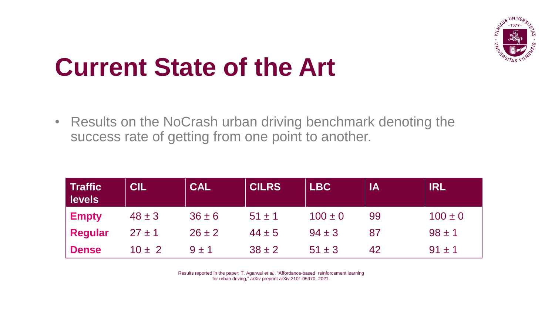

#### **Current State of the Art**

• Results on the NoCrash urban driving benchmark denoting the success rate of getting from one point to another.

| <b>Traffic</b><br><b>levels</b> | <b>CIL</b> | CAL        | <b>CILRS</b> | <b>LBC</b>  | <b>I IA</b> | IRL         |
|---------------------------------|------------|------------|--------------|-------------|-------------|-------------|
| <b>Empty</b>                    | $48 \pm 3$ | $36 \pm 6$ | $51 \pm 1$   | $100 \pm 0$ | 99          | $100 \pm 0$ |
| Regular                         | $27 \pm 1$ | $26 \pm 2$ | $44 \pm 5$   | $94 \pm 3$  | 87          | $98 \pm 1$  |
| <b>Dense</b>                    | $10 \pm 2$ | $9 \pm 1$  | $38 \pm 2$   | $51 \pm 3$  | 42          | $91 \pm 1$  |

Results reported in the paper: T. Agarwal *et al.*, "Affordance-based reinforcement learning for urban driving," arXiv preprint arXiv:2101.05970, 2021.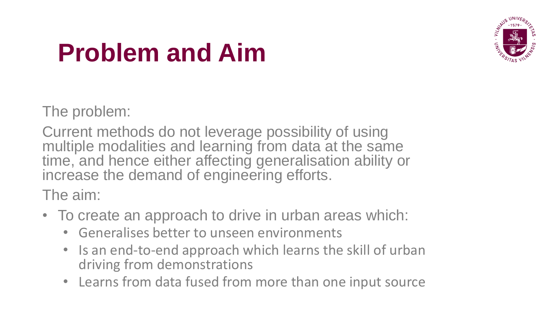

### **Problem and Aim**

The problem:

Current methods do not leverage possibility of using multiple modalities and learning from data at the same time, and hence either affecting generalisation ability or increase the demand of engineering efforts.

The aim:

- To create an approach to drive in urban areas which:
	- Generalises better to unseen environments
	- Is an end-to-end approach which learns the skill of urban driving from demonstrations
	- Learns from data fused from more than one input source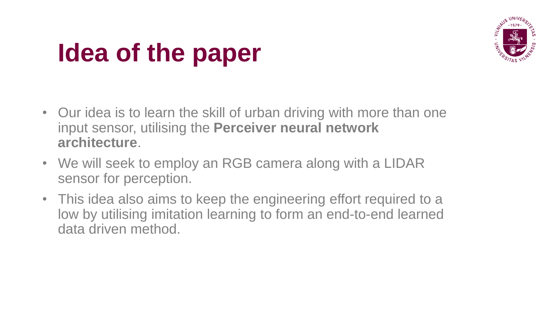

## **Idea of the paper**

- Our idea is to learn the skill of urban driving with more than one input sensor, utilising the **Perceiver neural network architecture**.
- We will seek to employ an RGB camera along with a LIDAR sensor for perception.
- This idea also aims to keep the engineering effort required to a low by utilising imitation learning to form an end-to-end learned data driven method.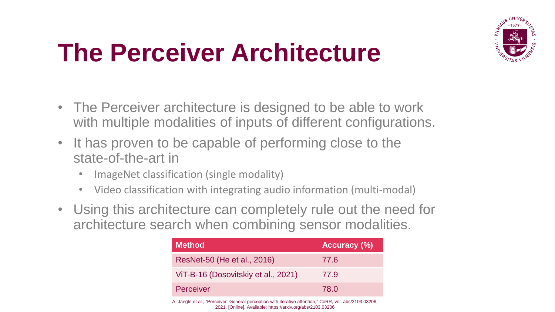

### **The Perceiver Architecture**

- The Perceiver architecture is designed to be able to work with multiple modalities of inputs of different configurations.
- It has proven to be capable of performing close to the state-of-the-art in
	- ImageNet classification (single modality)
	- Video classification with integrating audio information (multi-modal)
- Using this architecture can completely rule out the need for architecture search when combining sensor modalities.

| <b>Method</b>                       | <b>Accuracy (%)</b> |
|-------------------------------------|---------------------|
| ResNet-50 (He et al., 2016)         | 77.6                |
| ViT-B-16 (Dosovitskiy et al., 2021) | 77.9                |
| <b>Perceiver</b>                    | 78.0                |

A. Jaegle et al., "Perceiver: General perception with iterative attention," CoRR, vol. abs/2103.03206, 2021. [Online]. Available: https://arxiv.org/abs/2103.03206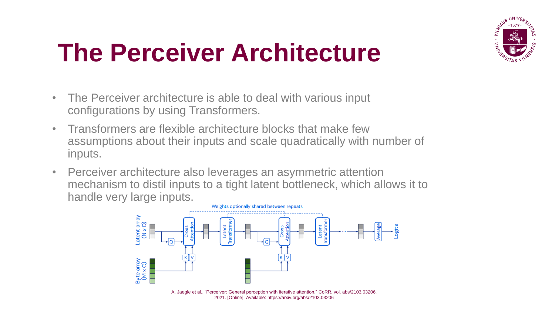

#### **The Perceiver Architecture**

- The Perceiver architecture is able to deal with various input configurations by using Transformers.
- Transformers are flexible architecture blocks that make few assumptions about their inputs and scale quadratically with number of inputs.
- Perceiver architecture also leverages an asymmetric attention mechanism to distil inputs to a tight latent bottleneck, which allows it to handle very large inputs.



A. Jaegle et al., "Perceiver: General perception with iterative attention," CoRR, vol. abs/2103.03206, 2021. [Online]. Available: https://arxiv.org/abs/2103.03206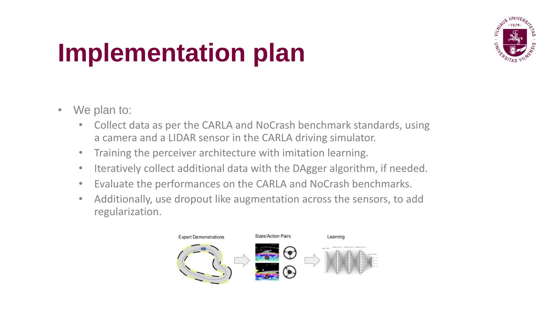

## **Implementation plan**

- We plan to:
	- Collect data as per the CARLA and NoCrash benchmark standards, using a camera and a LIDAR sensor in the CARLA driving simulator.
	- Training the perceiver architecture with imitation learning.
	- Iteratively collect additional data with the DAgger algorithm, if needed.
	- Evaluate the performances on the CARLA and NoCrash benchmarks.
	- Additionally, use dropout like augmentation across the sensors, to add regularization.

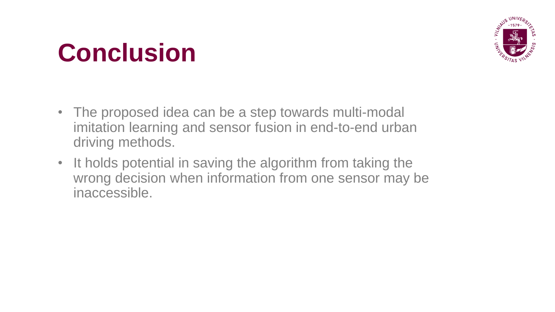### **Conclusion**



- The proposed idea can be a step towards multi-modal imitation learning and sensor fusion in end-to-end urban driving methods.
- It holds potential in saving the algorithm from taking the wrong decision when information from one sensor may be inaccessible.